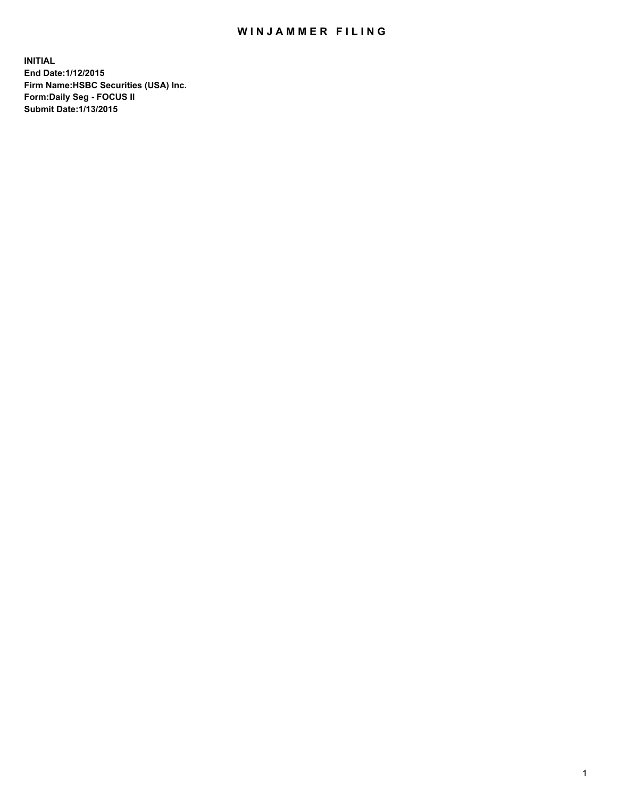## WIN JAMMER FILING

**INITIAL End Date:1/12/2015 Firm Name:HSBC Securities (USA) Inc. Form:Daily Seg - FOCUS II Submit Date:1/13/2015**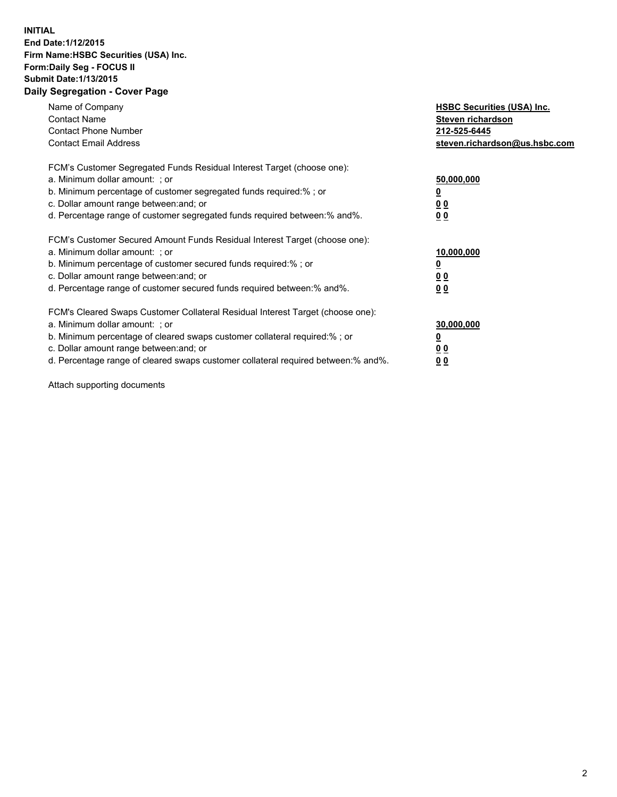## **INITIAL End Date:1/12/2015 Firm Name:HSBC Securities (USA) Inc. Form:Daily Seg - FOCUS II Submit Date:1/13/2015 Daily Segregation - Cover Page**

| Name of Company<br><b>Contact Name</b><br><b>Contact Phone Number</b><br><b>Contact Email Address</b>                                                                                                                                                                                                                          | <b>HSBC Securities (USA) Inc.</b><br>Steven richardson<br>212-525-6445<br>steven.richardson@us.hsbc.com |
|--------------------------------------------------------------------------------------------------------------------------------------------------------------------------------------------------------------------------------------------------------------------------------------------------------------------------------|---------------------------------------------------------------------------------------------------------|
| FCM's Customer Segregated Funds Residual Interest Target (choose one):<br>a. Minimum dollar amount: ; or<br>b. Minimum percentage of customer segregated funds required:%; or<br>c. Dollar amount range between: and; or<br>d. Percentage range of customer segregated funds required between: % and %.                        | 50,000,000<br>0 <sub>0</sub><br>0 <sub>0</sub>                                                          |
| FCM's Customer Secured Amount Funds Residual Interest Target (choose one):<br>a. Minimum dollar amount: ; or<br>b. Minimum percentage of customer secured funds required:%; or<br>c. Dollar amount range between: and; or<br>d. Percentage range of customer secured funds required between:% and%.                            | 10,000,000<br><u>0</u><br>0 <sub>0</sub><br>0 <sub>0</sub>                                              |
| FCM's Cleared Swaps Customer Collateral Residual Interest Target (choose one):<br>a. Minimum dollar amount: ; or<br>b. Minimum percentage of cleared swaps customer collateral required:% ; or<br>c. Dollar amount range between: and; or<br>d. Percentage range of cleared swaps customer collateral required between:% and%. | 30,000,000<br>00<br><u>00</u>                                                                           |

Attach supporting documents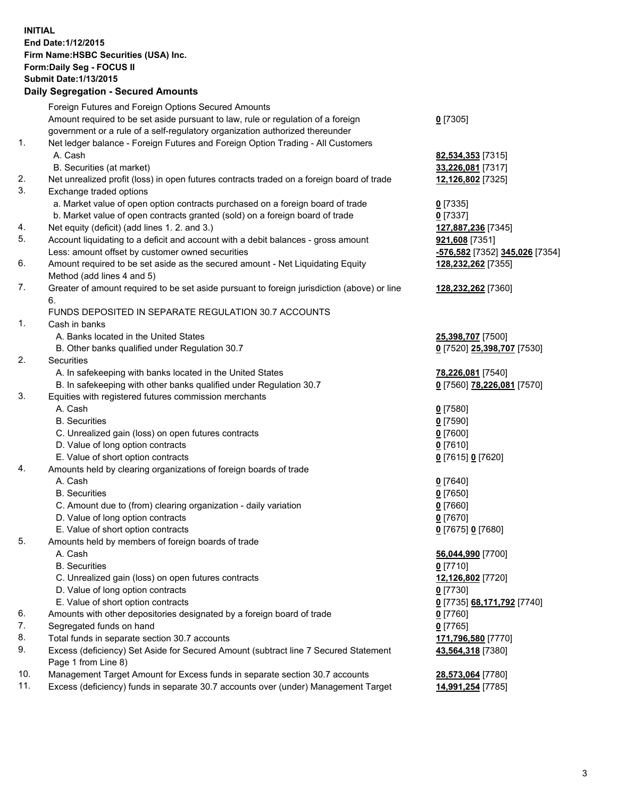**INITIAL End Date:1/12/2015 Firm Name:HSBC Securities (USA) Inc. Form:Daily Seg - FOCUS II Submit Date:1/13/2015 Daily Segregation - Secured Amounts**

|     | Foreign Futures and Foreign Options Secured Amounts                                         |                                |
|-----|---------------------------------------------------------------------------------------------|--------------------------------|
|     | Amount required to be set aside pursuant to law, rule or regulation of a foreign            | $0$ [7305]                     |
|     | government or a rule of a self-regulatory organization authorized thereunder                |                                |
| 1.  | Net ledger balance - Foreign Futures and Foreign Option Trading - All Customers             |                                |
|     | A. Cash                                                                                     | 82,534,353 [7315]              |
|     | B. Securities (at market)                                                                   | 33,226,081 [7317]              |
| 2.  | Net unrealized profit (loss) in open futures contracts traded on a foreign board of trade   | 12,126,802 [7325]              |
| 3.  | Exchange traded options                                                                     |                                |
|     | a. Market value of open option contracts purchased on a foreign board of trade              | $0$ [7335]                     |
|     | b. Market value of open contracts granted (sold) on a foreign board of trade                | $0$ [7337]                     |
| 4.  | Net equity (deficit) (add lines 1. 2. and 3.)                                               | 127,887,236 [7345]             |
| 5.  | Account liquidating to a deficit and account with a debit balances - gross amount           | 921,608 [7351]                 |
|     | Less: amount offset by customer owned securities                                            | -576,582 [7352] 345,026 [7354] |
| 6.  | Amount required to be set aside as the secured amount - Net Liquidating Equity              | 128,232,262 [7355]             |
|     | Method (add lines 4 and 5)                                                                  |                                |
| 7.  | Greater of amount required to be set aside pursuant to foreign jurisdiction (above) or line | 128,232,262 [7360]             |
|     | 6.                                                                                          |                                |
|     | FUNDS DEPOSITED IN SEPARATE REGULATION 30.7 ACCOUNTS                                        |                                |
| 1.  | Cash in banks                                                                               |                                |
|     | A. Banks located in the United States                                                       | 25,398,707 [7500]              |
|     | B. Other banks qualified under Regulation 30.7                                              | 0 [7520] 25,398,707 [7530]     |
| 2.  | Securities                                                                                  |                                |
|     | A. In safekeeping with banks located in the United States                                   | 78,226,081 [7540]              |
|     | B. In safekeeping with other banks qualified under Regulation 30.7                          | 0 [7560] 78,226,081 [7570]     |
| 3.  | Equities with registered futures commission merchants                                       |                                |
|     | A. Cash                                                                                     | $0$ [7580]                     |
|     | <b>B.</b> Securities                                                                        | $0$ [7590]                     |
|     | C. Unrealized gain (loss) on open futures contracts                                         | $0$ [7600]                     |
|     | D. Value of long option contracts                                                           | $0$ [7610]                     |
|     | E. Value of short option contracts                                                          | 0 [7615] 0 [7620]              |
| 4.  | Amounts held by clearing organizations of foreign boards of trade                           |                                |
|     | A. Cash                                                                                     | $0$ [7640]                     |
|     | <b>B.</b> Securities                                                                        | $0$ [7650]                     |
|     | C. Amount due to (from) clearing organization - daily variation                             | $0$ [7660]                     |
|     | D. Value of long option contracts                                                           | $0$ [7670]                     |
|     | E. Value of short option contracts                                                          | 0 [7675] 0 [7680]              |
| 5.  | Amounts held by members of foreign boards of trade                                          |                                |
|     | A. Cash                                                                                     | 56,044,990 [7700]              |
|     | <b>B.</b> Securities                                                                        | $0$ [7710]                     |
|     | C. Unrealized gain (loss) on open futures contracts                                         | 12,126,802 [7720]              |
|     | D. Value of long option contracts                                                           | $0$ [7730]                     |
|     | E. Value of short option contracts                                                          | 0 [7735] 68,171,792 [7740]     |
| 6.  | Amounts with other depositories designated by a foreign board of trade                      | $0$ [7760]                     |
| 7.  | Segregated funds on hand                                                                    | $0$ [7765]                     |
| 8.  | Total funds in separate section 30.7 accounts                                               | 171,796,580 [7770]             |
| 9.  | Excess (deficiency) Set Aside for Secured Amount (subtract line 7 Secured Statement         | 43,564,318 [7380]              |
|     | Page 1 from Line 8)                                                                         |                                |
| 10. | Management Target Amount for Excess funds in separate section 30.7 accounts                 | 28,573,064 [7780]              |
| 11. | Excess (deficiency) funds in separate 30.7 accounts over (under) Management Target          | 14,991,254 [7785]              |
|     |                                                                                             |                                |
|     |                                                                                             |                                |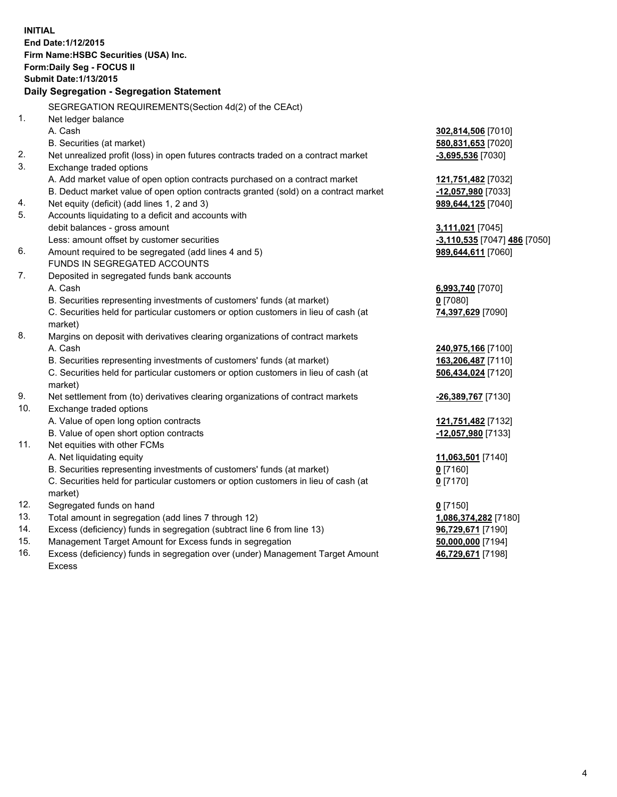| <b>Submit Date: 1/13/2015</b><br>Daily Segregation - Segregation Statement<br>SEGREGATION REQUIREMENTS(Section 4d(2) of the CEAct)<br>1.<br>Net ledger balance<br>A. Cash<br>302,814,506 [7010]<br>B. Securities (at market)<br>580,831,653 [7020]<br>2.<br>Net unrealized profit (loss) in open futures contracts traded on a contract market<br>$-3,695,536$ [7030]<br>3.<br>Exchange traded options<br>A. Add market value of open option contracts purchased on a contract market<br>121,751,482 [7032]<br>B. Deduct market value of open option contracts granted (sold) on a contract market<br>-12,057,980 [7033]<br>Net equity (deficit) (add lines 1, 2 and 3)<br>989,644,125 [7040]<br>4.<br>5.<br>Accounts liquidating to a deficit and accounts with<br>debit balances - gross amount<br>3,111,021 [7045]<br>Less: amount offset by customer securities<br>-3,110,535 [7047] 486 [7050]<br>6.<br>Amount required to be segregated (add lines 4 and 5)<br>989,644,611 [7060]<br>FUNDS IN SEGREGATED ACCOUNTS<br>7.<br>Deposited in segregated funds bank accounts<br>A. Cash<br>6,993,740 [7070]<br>B. Securities representing investments of customers' funds (at market)<br>$0$ [7080]<br>C. Securities held for particular customers or option customers in lieu of cash (at<br>74,397,629 [7090]<br>market)<br>Margins on deposit with derivatives clearing organizations of contract markets<br>A. Cash<br>240,975,166 [7100]<br>B. Securities representing investments of customers' funds (at market)<br>163,206,487 [7110]<br>C. Securities held for particular customers or option customers in lieu of cash (at<br>506,434,024 [7120]<br>market)<br>9.<br>Net settlement from (to) derivatives clearing organizations of contract markets<br><u>-26,389,767</u> [7130]<br>10.<br>Exchange traded options<br>A. Value of open long option contracts<br>121,751,482 [7132]<br>B. Value of open short option contracts<br>-12,057,980 [7133]<br>Net equities with other FCMs<br>11.<br>A. Net liquidating equity<br>11,063,501 [7140]<br>B. Securities representing investments of customers' funds (at market)<br><u>0</u> [7160]<br>C. Securities held for particular customers or option customers in lieu of cash (at<br>0 <sup>[7170]</sup><br>market)<br>12.<br>Segregated funds on hand<br>$0$ [7150]<br>13.<br>Total amount in segregation (add lines 7 through 12)<br>1,086,374,282 [7180]<br>14.<br>Excess (deficiency) funds in segregation (subtract line 6 from line 13)<br>96,729,671 [7190]<br>15.<br>Management Target Amount for Excess funds in segregation<br>50,000,000 [7194]<br>16.<br>Excess (deficiency) funds in segregation over (under) Management Target Amount<br>46,729,671 [7198] | <b>INITIAL</b> | End Date: 1/12/2015<br>Firm Name: HSBC Securities (USA) Inc. |  |  |  |  |  |  |
|------------------------------------------------------------------------------------------------------------------------------------------------------------------------------------------------------------------------------------------------------------------------------------------------------------------------------------------------------------------------------------------------------------------------------------------------------------------------------------------------------------------------------------------------------------------------------------------------------------------------------------------------------------------------------------------------------------------------------------------------------------------------------------------------------------------------------------------------------------------------------------------------------------------------------------------------------------------------------------------------------------------------------------------------------------------------------------------------------------------------------------------------------------------------------------------------------------------------------------------------------------------------------------------------------------------------------------------------------------------------------------------------------------------------------------------------------------------------------------------------------------------------------------------------------------------------------------------------------------------------------------------------------------------------------------------------------------------------------------------------------------------------------------------------------------------------------------------------------------------------------------------------------------------------------------------------------------------------------------------------------------------------------------------------------------------------------------------------------------------------------------------------------------------------------------------------------------------------------------------------------------------------------------------------------------------------------------------------------------------------------------------------------------------------------------------------------------------------------------------------------------------------------------------------------------------------------------------------------------------------------------------------------------------------------------------------------------------------------------|----------------|--------------------------------------------------------------|--|--|--|--|--|--|
|                                                                                                                                                                                                                                                                                                                                                                                                                                                                                                                                                                                                                                                                                                                                                                                                                                                                                                                                                                                                                                                                                                                                                                                                                                                                                                                                                                                                                                                                                                                                                                                                                                                                                                                                                                                                                                                                                                                                                                                                                                                                                                                                                                                                                                                                                                                                                                                                                                                                                                                                                                                                                                                                                                                                    |                | Form: Daily Seg - FOCUS II                                   |  |  |  |  |  |  |
|                                                                                                                                                                                                                                                                                                                                                                                                                                                                                                                                                                                                                                                                                                                                                                                                                                                                                                                                                                                                                                                                                                                                                                                                                                                                                                                                                                                                                                                                                                                                                                                                                                                                                                                                                                                                                                                                                                                                                                                                                                                                                                                                                                                                                                                                                                                                                                                                                                                                                                                                                                                                                                                                                                                                    |                |                                                              |  |  |  |  |  |  |
|                                                                                                                                                                                                                                                                                                                                                                                                                                                                                                                                                                                                                                                                                                                                                                                                                                                                                                                                                                                                                                                                                                                                                                                                                                                                                                                                                                                                                                                                                                                                                                                                                                                                                                                                                                                                                                                                                                                                                                                                                                                                                                                                                                                                                                                                                                                                                                                                                                                                                                                                                                                                                                                                                                                                    |                |                                                              |  |  |  |  |  |  |
|                                                                                                                                                                                                                                                                                                                                                                                                                                                                                                                                                                                                                                                                                                                                                                                                                                                                                                                                                                                                                                                                                                                                                                                                                                                                                                                                                                                                                                                                                                                                                                                                                                                                                                                                                                                                                                                                                                                                                                                                                                                                                                                                                                                                                                                                                                                                                                                                                                                                                                                                                                                                                                                                                                                                    |                |                                                              |  |  |  |  |  |  |
|                                                                                                                                                                                                                                                                                                                                                                                                                                                                                                                                                                                                                                                                                                                                                                                                                                                                                                                                                                                                                                                                                                                                                                                                                                                                                                                                                                                                                                                                                                                                                                                                                                                                                                                                                                                                                                                                                                                                                                                                                                                                                                                                                                                                                                                                                                                                                                                                                                                                                                                                                                                                                                                                                                                                    |                |                                                              |  |  |  |  |  |  |
|                                                                                                                                                                                                                                                                                                                                                                                                                                                                                                                                                                                                                                                                                                                                                                                                                                                                                                                                                                                                                                                                                                                                                                                                                                                                                                                                                                                                                                                                                                                                                                                                                                                                                                                                                                                                                                                                                                                                                                                                                                                                                                                                                                                                                                                                                                                                                                                                                                                                                                                                                                                                                                                                                                                                    |                |                                                              |  |  |  |  |  |  |
|                                                                                                                                                                                                                                                                                                                                                                                                                                                                                                                                                                                                                                                                                                                                                                                                                                                                                                                                                                                                                                                                                                                                                                                                                                                                                                                                                                                                                                                                                                                                                                                                                                                                                                                                                                                                                                                                                                                                                                                                                                                                                                                                                                                                                                                                                                                                                                                                                                                                                                                                                                                                                                                                                                                                    |                |                                                              |  |  |  |  |  |  |
|                                                                                                                                                                                                                                                                                                                                                                                                                                                                                                                                                                                                                                                                                                                                                                                                                                                                                                                                                                                                                                                                                                                                                                                                                                                                                                                                                                                                                                                                                                                                                                                                                                                                                                                                                                                                                                                                                                                                                                                                                                                                                                                                                                                                                                                                                                                                                                                                                                                                                                                                                                                                                                                                                                                                    |                |                                                              |  |  |  |  |  |  |
|                                                                                                                                                                                                                                                                                                                                                                                                                                                                                                                                                                                                                                                                                                                                                                                                                                                                                                                                                                                                                                                                                                                                                                                                                                                                                                                                                                                                                                                                                                                                                                                                                                                                                                                                                                                                                                                                                                                                                                                                                                                                                                                                                                                                                                                                                                                                                                                                                                                                                                                                                                                                                                                                                                                                    |                |                                                              |  |  |  |  |  |  |
|                                                                                                                                                                                                                                                                                                                                                                                                                                                                                                                                                                                                                                                                                                                                                                                                                                                                                                                                                                                                                                                                                                                                                                                                                                                                                                                                                                                                                                                                                                                                                                                                                                                                                                                                                                                                                                                                                                                                                                                                                                                                                                                                                                                                                                                                                                                                                                                                                                                                                                                                                                                                                                                                                                                                    |                |                                                              |  |  |  |  |  |  |
|                                                                                                                                                                                                                                                                                                                                                                                                                                                                                                                                                                                                                                                                                                                                                                                                                                                                                                                                                                                                                                                                                                                                                                                                                                                                                                                                                                                                                                                                                                                                                                                                                                                                                                                                                                                                                                                                                                                                                                                                                                                                                                                                                                                                                                                                                                                                                                                                                                                                                                                                                                                                                                                                                                                                    |                |                                                              |  |  |  |  |  |  |
|                                                                                                                                                                                                                                                                                                                                                                                                                                                                                                                                                                                                                                                                                                                                                                                                                                                                                                                                                                                                                                                                                                                                                                                                                                                                                                                                                                                                                                                                                                                                                                                                                                                                                                                                                                                                                                                                                                                                                                                                                                                                                                                                                                                                                                                                                                                                                                                                                                                                                                                                                                                                                                                                                                                                    |                |                                                              |  |  |  |  |  |  |
|                                                                                                                                                                                                                                                                                                                                                                                                                                                                                                                                                                                                                                                                                                                                                                                                                                                                                                                                                                                                                                                                                                                                                                                                                                                                                                                                                                                                                                                                                                                                                                                                                                                                                                                                                                                                                                                                                                                                                                                                                                                                                                                                                                                                                                                                                                                                                                                                                                                                                                                                                                                                                                                                                                                                    |                |                                                              |  |  |  |  |  |  |
|                                                                                                                                                                                                                                                                                                                                                                                                                                                                                                                                                                                                                                                                                                                                                                                                                                                                                                                                                                                                                                                                                                                                                                                                                                                                                                                                                                                                                                                                                                                                                                                                                                                                                                                                                                                                                                                                                                                                                                                                                                                                                                                                                                                                                                                                                                                                                                                                                                                                                                                                                                                                                                                                                                                                    |                |                                                              |  |  |  |  |  |  |
|                                                                                                                                                                                                                                                                                                                                                                                                                                                                                                                                                                                                                                                                                                                                                                                                                                                                                                                                                                                                                                                                                                                                                                                                                                                                                                                                                                                                                                                                                                                                                                                                                                                                                                                                                                                                                                                                                                                                                                                                                                                                                                                                                                                                                                                                                                                                                                                                                                                                                                                                                                                                                                                                                                                                    |                |                                                              |  |  |  |  |  |  |
|                                                                                                                                                                                                                                                                                                                                                                                                                                                                                                                                                                                                                                                                                                                                                                                                                                                                                                                                                                                                                                                                                                                                                                                                                                                                                                                                                                                                                                                                                                                                                                                                                                                                                                                                                                                                                                                                                                                                                                                                                                                                                                                                                                                                                                                                                                                                                                                                                                                                                                                                                                                                                                                                                                                                    |                |                                                              |  |  |  |  |  |  |
|                                                                                                                                                                                                                                                                                                                                                                                                                                                                                                                                                                                                                                                                                                                                                                                                                                                                                                                                                                                                                                                                                                                                                                                                                                                                                                                                                                                                                                                                                                                                                                                                                                                                                                                                                                                                                                                                                                                                                                                                                                                                                                                                                                                                                                                                                                                                                                                                                                                                                                                                                                                                                                                                                                                                    |                |                                                              |  |  |  |  |  |  |
|                                                                                                                                                                                                                                                                                                                                                                                                                                                                                                                                                                                                                                                                                                                                                                                                                                                                                                                                                                                                                                                                                                                                                                                                                                                                                                                                                                                                                                                                                                                                                                                                                                                                                                                                                                                                                                                                                                                                                                                                                                                                                                                                                                                                                                                                                                                                                                                                                                                                                                                                                                                                                                                                                                                                    |                |                                                              |  |  |  |  |  |  |
|                                                                                                                                                                                                                                                                                                                                                                                                                                                                                                                                                                                                                                                                                                                                                                                                                                                                                                                                                                                                                                                                                                                                                                                                                                                                                                                                                                                                                                                                                                                                                                                                                                                                                                                                                                                                                                                                                                                                                                                                                                                                                                                                                                                                                                                                                                                                                                                                                                                                                                                                                                                                                                                                                                                                    |                |                                                              |  |  |  |  |  |  |
|                                                                                                                                                                                                                                                                                                                                                                                                                                                                                                                                                                                                                                                                                                                                                                                                                                                                                                                                                                                                                                                                                                                                                                                                                                                                                                                                                                                                                                                                                                                                                                                                                                                                                                                                                                                                                                                                                                                                                                                                                                                                                                                                                                                                                                                                                                                                                                                                                                                                                                                                                                                                                                                                                                                                    |                |                                                              |  |  |  |  |  |  |
|                                                                                                                                                                                                                                                                                                                                                                                                                                                                                                                                                                                                                                                                                                                                                                                                                                                                                                                                                                                                                                                                                                                                                                                                                                                                                                                                                                                                                                                                                                                                                                                                                                                                                                                                                                                                                                                                                                                                                                                                                                                                                                                                                                                                                                                                                                                                                                                                                                                                                                                                                                                                                                                                                                                                    |                |                                                              |  |  |  |  |  |  |
|                                                                                                                                                                                                                                                                                                                                                                                                                                                                                                                                                                                                                                                                                                                                                                                                                                                                                                                                                                                                                                                                                                                                                                                                                                                                                                                                                                                                                                                                                                                                                                                                                                                                                                                                                                                                                                                                                                                                                                                                                                                                                                                                                                                                                                                                                                                                                                                                                                                                                                                                                                                                                                                                                                                                    | 8.             |                                                              |  |  |  |  |  |  |
|                                                                                                                                                                                                                                                                                                                                                                                                                                                                                                                                                                                                                                                                                                                                                                                                                                                                                                                                                                                                                                                                                                                                                                                                                                                                                                                                                                                                                                                                                                                                                                                                                                                                                                                                                                                                                                                                                                                                                                                                                                                                                                                                                                                                                                                                                                                                                                                                                                                                                                                                                                                                                                                                                                                                    |                |                                                              |  |  |  |  |  |  |
|                                                                                                                                                                                                                                                                                                                                                                                                                                                                                                                                                                                                                                                                                                                                                                                                                                                                                                                                                                                                                                                                                                                                                                                                                                                                                                                                                                                                                                                                                                                                                                                                                                                                                                                                                                                                                                                                                                                                                                                                                                                                                                                                                                                                                                                                                                                                                                                                                                                                                                                                                                                                                                                                                                                                    |                |                                                              |  |  |  |  |  |  |
|                                                                                                                                                                                                                                                                                                                                                                                                                                                                                                                                                                                                                                                                                                                                                                                                                                                                                                                                                                                                                                                                                                                                                                                                                                                                                                                                                                                                                                                                                                                                                                                                                                                                                                                                                                                                                                                                                                                                                                                                                                                                                                                                                                                                                                                                                                                                                                                                                                                                                                                                                                                                                                                                                                                                    |                |                                                              |  |  |  |  |  |  |
|                                                                                                                                                                                                                                                                                                                                                                                                                                                                                                                                                                                                                                                                                                                                                                                                                                                                                                                                                                                                                                                                                                                                                                                                                                                                                                                                                                                                                                                                                                                                                                                                                                                                                                                                                                                                                                                                                                                                                                                                                                                                                                                                                                                                                                                                                                                                                                                                                                                                                                                                                                                                                                                                                                                                    |                |                                                              |  |  |  |  |  |  |
|                                                                                                                                                                                                                                                                                                                                                                                                                                                                                                                                                                                                                                                                                                                                                                                                                                                                                                                                                                                                                                                                                                                                                                                                                                                                                                                                                                                                                                                                                                                                                                                                                                                                                                                                                                                                                                                                                                                                                                                                                                                                                                                                                                                                                                                                                                                                                                                                                                                                                                                                                                                                                                                                                                                                    |                |                                                              |  |  |  |  |  |  |
|                                                                                                                                                                                                                                                                                                                                                                                                                                                                                                                                                                                                                                                                                                                                                                                                                                                                                                                                                                                                                                                                                                                                                                                                                                                                                                                                                                                                                                                                                                                                                                                                                                                                                                                                                                                                                                                                                                                                                                                                                                                                                                                                                                                                                                                                                                                                                                                                                                                                                                                                                                                                                                                                                                                                    |                |                                                              |  |  |  |  |  |  |
|                                                                                                                                                                                                                                                                                                                                                                                                                                                                                                                                                                                                                                                                                                                                                                                                                                                                                                                                                                                                                                                                                                                                                                                                                                                                                                                                                                                                                                                                                                                                                                                                                                                                                                                                                                                                                                                                                                                                                                                                                                                                                                                                                                                                                                                                                                                                                                                                                                                                                                                                                                                                                                                                                                                                    |                |                                                              |  |  |  |  |  |  |
|                                                                                                                                                                                                                                                                                                                                                                                                                                                                                                                                                                                                                                                                                                                                                                                                                                                                                                                                                                                                                                                                                                                                                                                                                                                                                                                                                                                                                                                                                                                                                                                                                                                                                                                                                                                                                                                                                                                                                                                                                                                                                                                                                                                                                                                                                                                                                                                                                                                                                                                                                                                                                                                                                                                                    |                |                                                              |  |  |  |  |  |  |
|                                                                                                                                                                                                                                                                                                                                                                                                                                                                                                                                                                                                                                                                                                                                                                                                                                                                                                                                                                                                                                                                                                                                                                                                                                                                                                                                                                                                                                                                                                                                                                                                                                                                                                                                                                                                                                                                                                                                                                                                                                                                                                                                                                                                                                                                                                                                                                                                                                                                                                                                                                                                                                                                                                                                    |                |                                                              |  |  |  |  |  |  |
|                                                                                                                                                                                                                                                                                                                                                                                                                                                                                                                                                                                                                                                                                                                                                                                                                                                                                                                                                                                                                                                                                                                                                                                                                                                                                                                                                                                                                                                                                                                                                                                                                                                                                                                                                                                                                                                                                                                                                                                                                                                                                                                                                                                                                                                                                                                                                                                                                                                                                                                                                                                                                                                                                                                                    |                |                                                              |  |  |  |  |  |  |
|                                                                                                                                                                                                                                                                                                                                                                                                                                                                                                                                                                                                                                                                                                                                                                                                                                                                                                                                                                                                                                                                                                                                                                                                                                                                                                                                                                                                                                                                                                                                                                                                                                                                                                                                                                                                                                                                                                                                                                                                                                                                                                                                                                                                                                                                                                                                                                                                                                                                                                                                                                                                                                                                                                                                    |                |                                                              |  |  |  |  |  |  |
|                                                                                                                                                                                                                                                                                                                                                                                                                                                                                                                                                                                                                                                                                                                                                                                                                                                                                                                                                                                                                                                                                                                                                                                                                                                                                                                                                                                                                                                                                                                                                                                                                                                                                                                                                                                                                                                                                                                                                                                                                                                                                                                                                                                                                                                                                                                                                                                                                                                                                                                                                                                                                                                                                                                                    |                |                                                              |  |  |  |  |  |  |
|                                                                                                                                                                                                                                                                                                                                                                                                                                                                                                                                                                                                                                                                                                                                                                                                                                                                                                                                                                                                                                                                                                                                                                                                                                                                                                                                                                                                                                                                                                                                                                                                                                                                                                                                                                                                                                                                                                                                                                                                                                                                                                                                                                                                                                                                                                                                                                                                                                                                                                                                                                                                                                                                                                                                    |                |                                                              |  |  |  |  |  |  |
|                                                                                                                                                                                                                                                                                                                                                                                                                                                                                                                                                                                                                                                                                                                                                                                                                                                                                                                                                                                                                                                                                                                                                                                                                                                                                                                                                                                                                                                                                                                                                                                                                                                                                                                                                                                                                                                                                                                                                                                                                                                                                                                                                                                                                                                                                                                                                                                                                                                                                                                                                                                                                                                                                                                                    |                |                                                              |  |  |  |  |  |  |
|                                                                                                                                                                                                                                                                                                                                                                                                                                                                                                                                                                                                                                                                                                                                                                                                                                                                                                                                                                                                                                                                                                                                                                                                                                                                                                                                                                                                                                                                                                                                                                                                                                                                                                                                                                                                                                                                                                                                                                                                                                                                                                                                                                                                                                                                                                                                                                                                                                                                                                                                                                                                                                                                                                                                    |                |                                                              |  |  |  |  |  |  |
|                                                                                                                                                                                                                                                                                                                                                                                                                                                                                                                                                                                                                                                                                                                                                                                                                                                                                                                                                                                                                                                                                                                                                                                                                                                                                                                                                                                                                                                                                                                                                                                                                                                                                                                                                                                                                                                                                                                                                                                                                                                                                                                                                                                                                                                                                                                                                                                                                                                                                                                                                                                                                                                                                                                                    |                |                                                              |  |  |  |  |  |  |
|                                                                                                                                                                                                                                                                                                                                                                                                                                                                                                                                                                                                                                                                                                                                                                                                                                                                                                                                                                                                                                                                                                                                                                                                                                                                                                                                                                                                                                                                                                                                                                                                                                                                                                                                                                                                                                                                                                                                                                                                                                                                                                                                                                                                                                                                                                                                                                                                                                                                                                                                                                                                                                                                                                                                    |                |                                                              |  |  |  |  |  |  |
|                                                                                                                                                                                                                                                                                                                                                                                                                                                                                                                                                                                                                                                                                                                                                                                                                                                                                                                                                                                                                                                                                                                                                                                                                                                                                                                                                                                                                                                                                                                                                                                                                                                                                                                                                                                                                                                                                                                                                                                                                                                                                                                                                                                                                                                                                                                                                                                                                                                                                                                                                                                                                                                                                                                                    |                | <b>Excess</b>                                                |  |  |  |  |  |  |